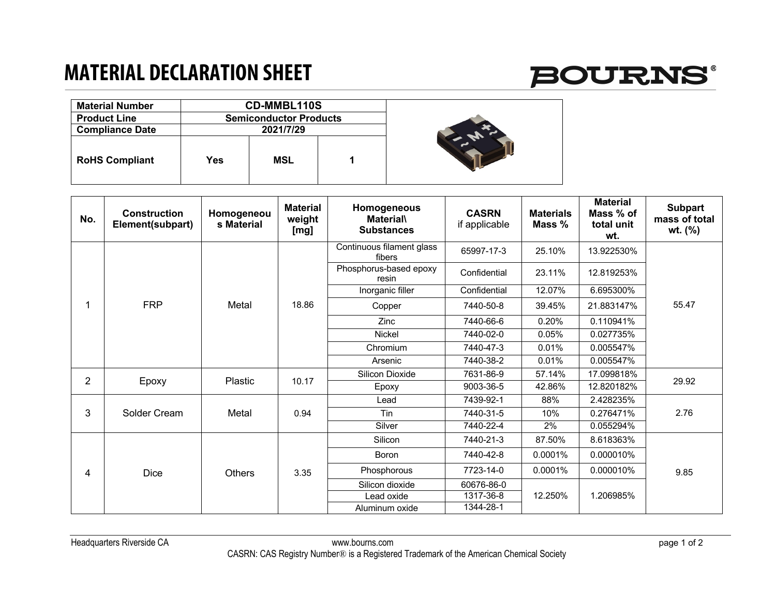## **MATERIAL DECLARATION SHEET**



| <b>Material Number</b> |           | <b>CD-MMBL110S</b>            |  |  |
|------------------------|-----------|-------------------------------|--|--|
| <b>Product Line</b>    |           | <b>Semiconductor Products</b> |  |  |
| <b>Compliance Date</b> | 2021/7/29 |                               |  |  |
| <b>RoHS Compliant</b>  | Yes       | <b>MSL</b>                    |  |  |

| No.            | <b>Construction</b><br>Element(subpart) | Homogeneou<br>s Material | <b>Material</b><br>weight<br>[mg] | Homogeneous<br><b>Material</b><br><b>Substances</b> | <b>CASRN</b><br>if applicable | <b>Materials</b><br>Mass % | <b>Material</b><br>Mass % of<br>total unit<br>wt. | <b>Subpart</b><br>mass of total<br>wt. (%) |
|----------------|-----------------------------------------|--------------------------|-----------------------------------|-----------------------------------------------------|-------------------------------|----------------------------|---------------------------------------------------|--------------------------------------------|
|                | <b>FRP</b>                              | Metal                    | 18.86                             | Continuous filament glass<br>fibers                 | 65997-17-3                    | 25.10%                     | 13.922530%                                        | 55.47                                      |
|                |                                         |                          |                                   | Phosphorus-based epoxy<br>resin                     | Confidential                  | 23.11%                     | 12.819253%                                        |                                            |
|                |                                         |                          |                                   | Inorganic filler                                    | Confidential                  | 12.07%                     | 6.695300%                                         |                                            |
|                |                                         |                          |                                   | Copper                                              | 7440-50-8                     | 39.45%                     | 21.883147%                                        |                                            |
|                |                                         |                          |                                   | <b>Zinc</b>                                         | 7440-66-6                     | 0.20%                      | 0.110941%                                         |                                            |
|                |                                         |                          |                                   | <b>Nickel</b>                                       | 7440-02-0                     | 0.05%                      | 0.027735%                                         |                                            |
|                |                                         |                          |                                   | Chromium                                            | 7440-47-3                     | 0.01%                      | 0.005547%                                         |                                            |
|                |                                         |                          |                                   | Arsenic                                             | 7440-38-2                     | 0.01%                      | 0.005547%                                         |                                            |
| $\overline{2}$ | Epoxy                                   | Plastic                  | 10.17                             | Silicon Dioxide                                     | 7631-86-9                     | 57.14%                     | 17.099818%                                        | 29.92                                      |
|                |                                         |                          |                                   | Epoxy                                               | 9003-36-5                     | 42.86%                     | 12.820182%                                        |                                            |
| 3              | Solder Cream                            | Metal                    | 0.94                              | Lead                                                | 7439-92-1                     | 88%                        | 2.428235%                                         | 2.76                                       |
|                |                                         |                          |                                   | Tin                                                 | 7440-31-5                     | 10%                        | 0.276471%                                         |                                            |
|                |                                         |                          |                                   | Silver                                              | 7440-22-4                     | 2%                         | 0.055294%                                         |                                            |
| 4              | <b>Dice</b>                             | <b>Others</b>            | 3.35                              | Silicon                                             | 7440-21-3                     | 87.50%                     | 8.618363%                                         | 9.85                                       |
|                |                                         |                          |                                   | <b>Boron</b>                                        | 7440-42-8                     | 0.0001%                    | 0.000010%                                         |                                            |
|                |                                         |                          |                                   | Phosphorous                                         | 7723-14-0                     | 0.0001%                    | 0.000010%                                         |                                            |
|                |                                         |                          |                                   | Silicon dioxide                                     | 60676-86-0                    | 12.250%                    |                                                   |                                            |
|                |                                         |                          |                                   | Lead oxide                                          | 1317-36-8                     |                            | 1.206985%                                         |                                            |
|                |                                         |                          |                                   | Aluminum oxide                                      | 1344-28-1                     |                            |                                                   |                                            |